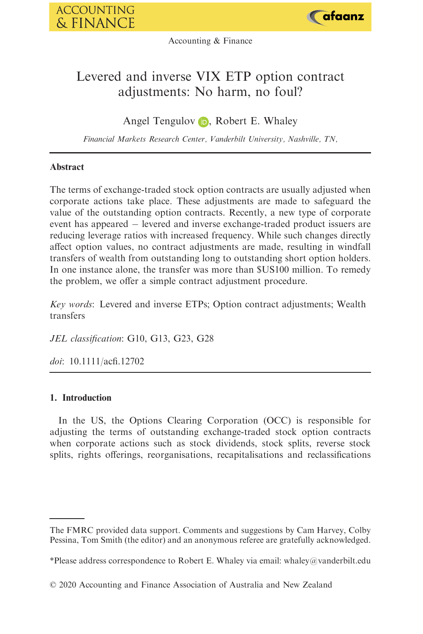

Accounting & Finance

# Levered and inverse VIX ETP option contract adjustments: No harm, no foul?

Angel Tengulo[v](https://orcid.org/0000-0002-0596-8120)  $\bullet$ , Robert E. Whaley

Financial Markets Research Center, Vanderbilt University, Nashville, TN,

## Abstract

The terms of exchange-traded stock option contracts are usually adjusted when corporate actions take place. These adjustments are made to safeguard the value of the outstanding option contracts. Recently, a new type of corporate event has appeared – levered and inverse exchange-traded product issuers are reducing leverage ratios with increased frequency. While such changes directly affect option values, no contract adjustments are made, resulting in windfall transfers of wealth from outstanding long to outstanding short option holders. In one instance alone, the transfer was more than \$US100 million. To remedy the problem, we offer a simple contract adjustment procedure.

Key words: Levered and inverse ETPs; Option contract adjustments; Wealth transfers

JEL classification: G10, G13, G23, G28

doi: 10.1111/acfi.12702

## 1. Introduction

In the US, the Options Clearing Corporation (OCC) is responsible for adjusting the terms of outstanding exchange-traded stock option contracts when corporate actions such as stock dividends, stock splits, reverse stock splits, rights offerings, reorganisations, recapitalisations and reclassifications

The FMRC provided data support. Comments and suggestions by Cam Harvey, Colby Pessina, Tom Smith (the editor) and an anonymous referee are gratefully acknowledged.

<sup>\*</sup>Please address correspondence to Robert E. Whaley via email: [whaley@vanderbilt.edu](mailto:)

<sup>©</sup> 2020 Accounting and Finance Association of Australia and New Zealand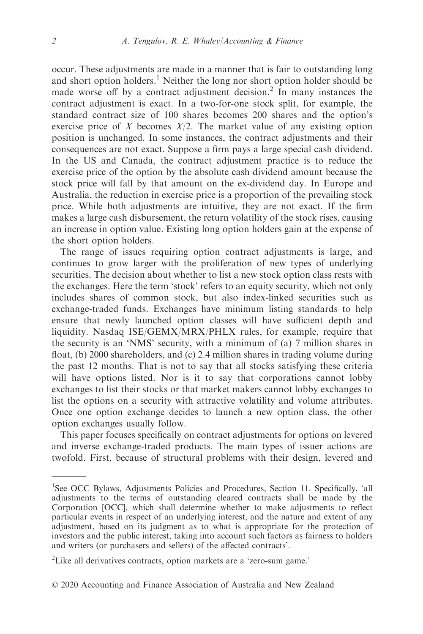occur. These adjustments are made in a manner that is fair to outstanding long and short option holders.<sup>1</sup> Neither the long nor short option holder should be made worse off by a contract adjustment decision.<sup>2</sup> In many instances the contract adjustment is exact. In a two-for-one stock split, for example, the standard contract size of 100 shares becomes 200 shares and the option's exercise price of X becomes  $X/2$ . The market value of any existing option position is unchanged. In some instances, the contract adjustments and their consequences are not exact. Suppose a firm pays a large special cash dividend. In the US and Canada, the contract adjustment practice is to reduce the exercise price of the option by the absolute cash dividend amount because the stock price will fall by that amount on the ex-dividend day. In Europe and Australia, the reduction in exercise price is a proportion of the prevailing stock price. While both adjustments are intuitive, they are not exact. If the firm makes a large cash disbursement, the return volatility of the stock rises, causing an increase in option value. Existing long option holders gain at the expense of the short option holders.

The range of issues requiring option contract adjustments is large, and continues to grow larger with the proliferation of new types of underlying securities. The decision about whether to list a new stock option class rests with the exchanges. Here the term 'stock' refers to an equity security, which not only includes shares of common stock, but also index-linked securities such as exchange-traded funds. Exchanges have minimum listing standards to help ensure that newly launched option classes will have sufficient depth and liquidity. Nasdaq ISE/GEMX/MRX/PHLX rules, for example, require that the security is an 'NMS' security, with a minimum of (a) 7 million shares in float, (b) 2000 shareholders, and (c) 2.4 million shares in trading volume during the past 12 months. That is not to say that all stocks satisfying these criteria will have options listed. Nor is it to say that corporations cannot lobby exchanges to list their stocks or that market makers cannot lobby exchanges to list the options on a security with attractive volatility and volume attributes. Once one option exchange decides to launch a new option class, the other option exchanges usually follow.

This paper focuses specifically on contract adjustments for options on levered and inverse exchange-traded products. The main types of issuer actions are twofold. First, because of structural problems with their design, levered and

<sup>&</sup>lt;sup>1</sup>See OCC Bylaws, Adjustments Policies and Procedures, Section 11. Specifically, 'all adjustments to the terms of outstanding cleared contracts shall be made by the Corporation [OCC], which shall determine whether to make adjustments to reflect particular events in respect of an underlying interest, and the nature and extent of any adjustment, based on its judgment as to what is appropriate for the protection of investors and the public interest, taking into account such factors as fairness to holders and writers (or purchasers and sellers) of the affected contracts'.

<sup>&</sup>lt;sup>2</sup>Like all derivatives contracts, option markets are a 'zero-sum game.'

<sup>©</sup> 2020 Accounting and Finance Association of Australia and New Zealand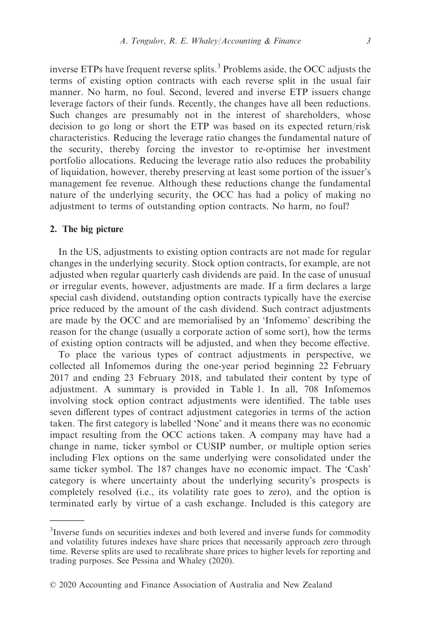inverse ETPs have frequent reverse splits.<sup>3</sup> Problems aside, the OCC adjusts the terms of existing option contracts with each reverse split in the usual fair manner. No harm, no foul. Second, levered and inverse ETP issuers change leverage factors of their funds. Recently, the changes have all been reductions. Such changes are presumably not in the interest of shareholders, whose decision to go long or short the ETP was based on its expected return/risk characteristics. Reducing the leverage ratio changes the fundamental nature of the security, thereby forcing the investor to re-optimise her investment portfolio allocations. Reducing the leverage ratio also reduces the probability of liquidation, however, thereby preserving at least some portion of the issuer's management fee revenue. Although these reductions change the fundamental nature of the underlying security, the OCC has had a policy of making no adjustment to terms of outstanding option contracts. No harm, no foul?

#### 2. The big picture

In the US, adjustments to existing option contracts are not made for regular changes in the underlying security. Stock option contracts, for example, are not adjusted when regular quarterly cash dividends are paid. In the case of unusual or irregular events, however, adjustments are made. If a firm declares a large special cash dividend, outstanding option contracts typically have the exercise price reduced by the amount of the cash dividend. Such contract adjustments are made by the OCC and are memorialised by an 'Infomemo' describing the reason for the change (usually a corporate action of some sort), how the terms of existing option contracts will be adjusted, and when they become effective.

To place the various types of contract adjustments in perspective, we collected all Infomemos during the one-year period beginning 22 February 2017 and ending 23 February 2018, and tabulated their content by type of adjustment. A summary is provided in Table 1. In all, 708 Infomemos involving stock option contract adjustments were identified. The table uses seven different types of contract adjustment categories in terms of the action taken. The first category is labelled 'None' and it means there was no economic impact resulting from the OCC actions taken. A company may have had a change in name, ticker symbol or CUSIP number, or multiple option series including Flex options on the same underlying were consolidated under the same ticker symbol. The 187 changes have no economic impact. The 'Cash' category is where uncertainty about the underlying security's prospects is completely resolved (i.e., its volatility rate goes to zero), and the option is terminated early by virtue of a cash exchange. Included is this category are

<sup>&</sup>lt;sup>3</sup>Inverse funds on securities indexes and both levered and inverse funds for commodity and volatility futures indexes have share prices that necessarily approach zero through time. Reverse splits are used to recalibrate share prices to higher levels for reporting and trading purposes. See Pessina and Whaley (2020).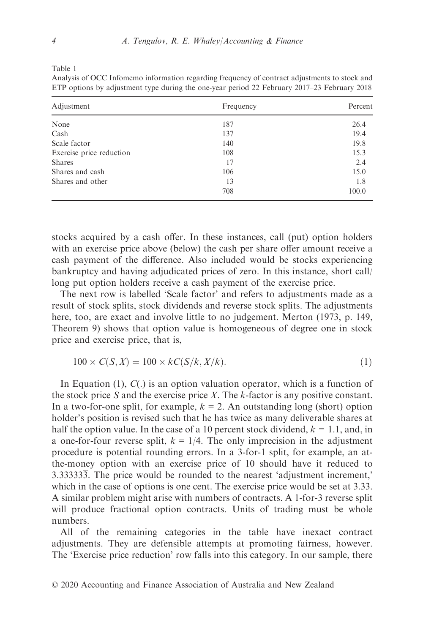| Adjustment               | Frequency | Percent |
|--------------------------|-----------|---------|
| None                     | 187       | 26.4    |
| Cash                     | 137       | 19.4    |
| Scale factor             | 140       | 19.8    |
| Exercise price reduction | 108       | 15.3    |
| <b>Shares</b>            | 17        | 2.4     |
| Shares and cash          | 106       | 15.0    |
| Shares and other         | 13        | 1.8     |
|                          | 708       | 100.0   |

Table 1

Analysis of OCC Infomemo information regarding frequency of contract adjustments to stock and ETP options by adjustment type during the one-year period 22 February 2017–23 February 2018

stocks acquired by a cash offer. In these instances, call (put) option holders with an exercise price above (below) the cash per share offer amount receive a cash payment of the difference. Also included would be stocks experiencing bankruptcy and having adjudicated prices of zero. In this instance, short call/ long put option holders receive a cash payment of the exercise price.

The next row is labelled 'Scale factor' and refers to adjustments made as a result of stock splits, stock dividends and reverse stock splits. The adjustments here, too, are exact and involve little to no judgement. Merton (1973, p. 149, Theorem 9) shows that option value is homogeneous of degree one in stock price and exercise price, that is,

$$
100 \times C(S, X) = 100 \times kC(S/k, X/k). \tag{1}
$$

In Equation  $(1)$ ,  $C(.)$  is an option valuation operator, which is a function of the stock price S and the exercise price X. The  $k$ -factor is any positive constant. In a two-for-one split, for example,  $k = 2$ . An outstanding long (short) option holder's position is revised such that he has twice as many deliverable shares at half the option value. In the case of a 10 percent stock dividend,  $k = 1.1$ , and, in a one-for-four reverse split,  $k = 1/4$ . The only imprecision in the adjustment procedure is potential rounding errors. In a 3-for-1 split, for example, an atthe-money option with an exercise price of 10 should have it reduced to 3:333333. The price would be rounded to the nearest 'adjustment increment,' which in the case of options is one cent. The exercise price would be set at 3.33. A similar problem might arise with numbers of contracts. A 1-for-3 reverse split will produce fractional option contracts. Units of trading must be whole numbers.

All of the remaining categories in the table have inexact contract adjustments. They are defensible attempts at promoting fairness, however. The 'Exercise price reduction' row falls into this category. In our sample, there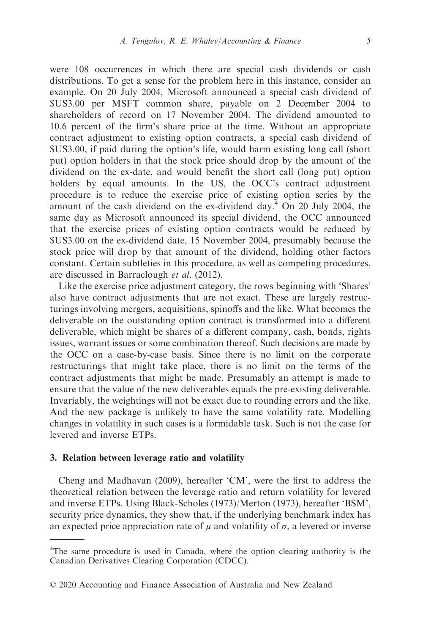were 108 occurrences in which there are special cash dividends or cash distributions. To get a sense for the problem here in this instance, consider an example. On 20 July 2004, Microsoft announced a special cash dividend of \$US3.00 per MSFT common share, payable on 2 December 2004 to shareholders of record on 17 November 2004. The dividend amounted to 10.6 percent of the firm's share price at the time. Without an appropriate contract adjustment to existing option contracts, a special cash dividend of \$US3.00, if paid during the option's life, would harm existing long call (short put) option holders in that the stock price should drop by the amount of the dividend on the ex-date, and would benefit the short call (long put) option holders by equal amounts. In the US, the OCC's contract adjustment procedure is to reduce the exercise price of existing option series by the amount of the cash dividend on the ex-dividend day.<sup>4</sup> On 20 July 2004, the same day as Microsoft announced its special dividend, the OCC announced that the exercise prices of existing option contracts would be reduced by \$US3.00 on the ex-dividend date, 15 November 2004, presumably because the stock price will drop by that amount of the dividend, holding other factors constant. Certain subtleties in this procedure, as well as competing procedures, are discussed in Barraclough et al. (2012).

Like the exercise price adjustment category, the rows beginning with 'Shares' also have contract adjustments that are not exact. These are largely restructurings involving mergers, acquisitions, spinoffs and the like. What becomes the deliverable on the outstanding option contract is transformed into a different deliverable, which might be shares of a different company, cash, bonds, rights issues, warrant issues or some combination thereof. Such decisions are made by the OCC on a case-by-case basis. Since there is no limit on the corporate restructurings that might take place, there is no limit on the terms of the contract adjustments that might be made. Presumably an attempt is made to ensure that the value of the new deliverables equals the pre-existing deliverable. Invariably, the weightings will not be exact due to rounding errors and the like. And the new package is unlikely to have the same volatility rate. Modelling changes in volatility in such cases is a formidable task. Such is not the case for levered and inverse ETPs.

#### 3. Relation between leverage ratio and volatility

Cheng and Madhavan (2009), hereafter 'CM', were the first to address the theoretical relation between the leverage ratio and return volatility for levered and inverse ETPs. Using Black-Scholes (1973)/Merton (1973), hereafter 'BSM', security price dynamics, they show that, if the underlying benchmark index has an expected price appreciation rate of  $\mu$  and volatility of  $\sigma$ , a levered or inverse

<sup>&</sup>lt;sup>4</sup>The same procedure is used in Canada, where the option clearing authority is the Canadian Derivatives Clearing Corporation (CDCC).

<sup>©</sup> 2020 Accounting and Finance Association of Australia and New Zealand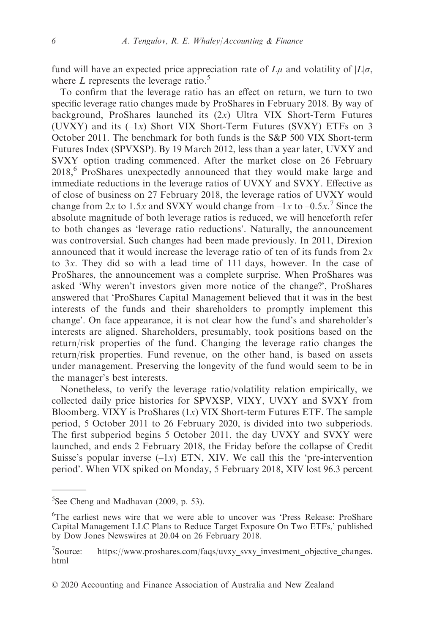fund will have an expected price appreciation rate of  $Lu$  and volatility of  $|L|\sigma$ , where  $L$  represents the leverage ratio.<sup>5</sup>

To confirm that the leverage ratio has an effect on return, we turn to two specific leverage ratio changes made by ProShares in February 2018. By way of background, ProShares launched its  $(2x)$  Ultra VIX Short-Term Futures (UVXY) and its  $(-1x)$  Short VIX Short-Term Futures (SVXY) ETFs on 3 October 2011. The benchmark for both funds is the S&P 500 VIX Short-term Futures Index (SPVXSP). By 19 March 2012, less than a year later, UVXY and SVXY option trading commenced. After the market close on 26 February 2018,<sup>6</sup> ProShares unexpectedly announced that they would make large and immediate reductions in the leverage ratios of UVXY and SVXY. Effective as of close of business on 27 February 2018, the leverage ratios of UVXY would change from  $2x$  to  $1.5x$  and SVXY would change from  $-1x$  to  $-0.5x$ .<sup>7</sup> Since the absolute magnitude of both leverage ratios is reduced, we will henceforth refer to both changes as 'leverage ratio reductions'. Naturally, the announcement was controversial. Such changes had been made previously. In 2011, Direxion announced that it would increase the leverage ratio of ten of its funds from  $2x$ to 3x. They did so with a lead time of 111 days, however. In the case of ProShares, the announcement was a complete surprise. When ProShares was asked 'Why weren't investors given more notice of the change?', ProShares answered that 'ProShares Capital Management believed that it was in the best interests of the funds and their shareholders to promptly implement this change'. On face appearance, it is not clear how the fund's and shareholder's interests are aligned. Shareholders, presumably, took positions based on the return/risk properties of the fund. Changing the leverage ratio changes the return/risk properties. Fund revenue, on the other hand, is based on assets under management. Preserving the longevity of the fund would seem to be in the manager's best interests.

Nonetheless, to verify the leverage ratio/volatility relation empirically, we collected daily price histories for SPVXSP, VIXY, UVXY and SVXY from Bloomberg. VIXY is ProShares  $(1x)$  VIX Short-term Futures ETF. The sample period, 5 October 2011 to 26 February 2020, is divided into two subperiods. The first subperiod begins 5 October 2011, the day UVXY and SVXY were launched, and ends 2 February 2018, the Friday before the collapse of Credit Suisse's popular inverse  $(-1x)$  ETN, XIV. We call this the 'pre-intervention period'. When VIX spiked on Monday, 5 February 2018, XIV lost 96.3 percent

<sup>5</sup> See Cheng and Madhavan (2009, p. 53).

<sup>&</sup>lt;sup>6</sup>The earliest news wire that we were able to uncover was 'Press Release: ProShare Capital Management LLC Plans to Reduce Target Exposure On Two ETFs,' published by Dow Jones Newswires at 20.04 on 26 February 2018.

<sup>&</sup>lt;sup>7</sup>Source: https://www.proshares.com/faqs/uvxy\_svxy\_investment\_objective\_changes. [html](//www.proshares.com/news/proshares_announces_changes_to_etf_lineup_031220.html://www.proshares.com/news/proshares_announces_changes_to_etf_lineup_031220.html)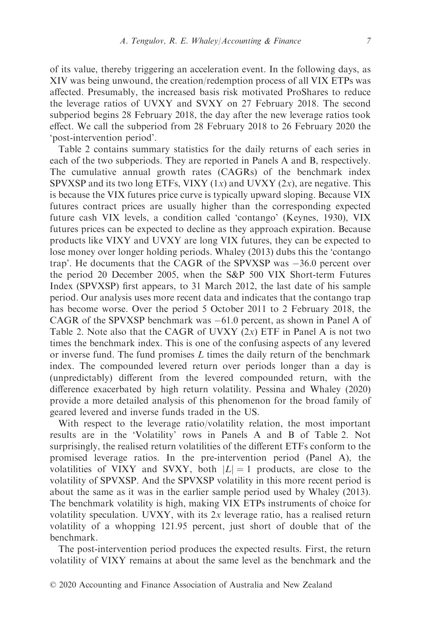of its value, thereby triggering an acceleration event. In the following days, as XIV was being unwound, the creation/redemption process of all VIX ETPs was affected. Presumably, the increased basis risk motivated ProShares to reduce the leverage ratios of UVXY and SVXY on 27 February 2018. The second subperiod begins 28 February 2018, the day after the new leverage ratios took effect. We call the subperiod from 28 February 2018 to 26 February 2020 the 'post-intervention period'.

Table 2 contains summary statistics for the daily returns of each series in each of the two subperiods. They are reported in Panels A and B, respectively. The cumulative annual growth rates (CAGRs) of the benchmark index SPVXSP and its two long ETFs, VIXY  $(1x)$  and UVXY  $(2x)$ , are negative. This is because the VIX futures price curve is typically upward sloping. Because VIX futures contract prices are usually higher than the corresponding expected future cash VIX levels, a condition called 'contango' (Keynes, 1930), VIX futures prices can be expected to decline as they approach expiration. Because products like VIXY and UVXY are long VIX futures, they can be expected to lose money over longer holding periods. Whaley (2013) dubs this the 'contango trap'. He documents that the CAGR of the SPVXSP was  $-36.0$  percent over the period 20 December 2005, when the S&P 500 VIX Short-term Futures Index (SPVXSP) first appears, to 31 March 2012, the last date of his sample period. Our analysis uses more recent data and indicates that the contango trap has become worse. Over the period 5 October 2011 to 2 February 2018, the CAGR of the SPVXSP benchmark was  $-61.0$  percent, as shown in Panel A of Table 2. Note also that the CAGR of UVXY  $(2x)$  ETF in Panel A is not two times the benchmark index. This is one of the confusing aspects of any levered or inverse fund. The fund promises  $L$  times the daily return of the benchmark index. The compounded levered return over periods longer than a day is (unpredictably) different from the levered compounded return, with the difference exacerbated by high return volatility. Pessina and Whaley (2020) provide a more detailed analysis of this phenomenon for the broad family of geared levered and inverse funds traded in the US.

With respect to the leverage ratio/volatility relation, the most important results are in the 'Volatility' rows in Panels A and B of Table 2. Not surprisingly, the realised return volatilities of the different ETFs conform to the promised leverage ratios. In the pre-intervention period (Panel A), the volatilities of VIXY and SVXY, both  $|L|=1$  products, are close to the volatility of SPVXSP. And the SPVXSP volatility in this more recent period is about the same as it was in the earlier sample period used by Whaley (2013). The benchmark volatility is high, making VIX ETPs instruments of choice for volatility speculation. UVXY, with its  $2x$  leverage ratio, has a realised return volatility of a whopping 121.95 percent, just short of double that of the benchmark.

The post-intervention period produces the expected results. First, the return volatility of VIXY remains at about the same level as the benchmark and the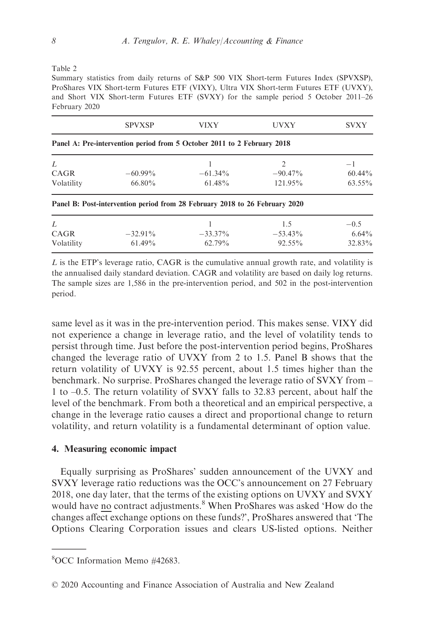Table 2

Summary statistics from daily returns of S&P 500 VIX Short-term Futures Index (SPVXSP), ProShares VIX Short-term Futures ETF (VIXY), Ultra VIX Short-term Futures ETF (UVXY), and Short VIX Short-term Futures ETF (SVXY) for the sample period 5 October 2011–26 February 2020

|            | <b>SPVXSP</b>                                                               | VIXY       | <b>UVXY</b> | <b>SVXY</b> |
|------------|-----------------------------------------------------------------------------|------------|-------------|-------------|
|            | Panel A: Pre-intervention period from 5 October 2011 to 2 February 2018     |            |             |             |
| L          |                                                                             |            | 2           | $-1$        |
| CAGR       | $-60.99\%$                                                                  | $-61.34\%$ | $-90.47\%$  | $60.44\%$   |
| Volatility | 66.80%                                                                      | 61.48%     | 121.95%     | 63.55%      |
|            | Panel B: Post-intervention period from 28 February 2018 to 26 February 2020 |            |             |             |
| L          |                                                                             |            | 1.5         | $-0.5$      |
| CAGR       | $-32.91\%$                                                                  | $-33.37\%$ | $-53.43\%$  | 6.64%       |
| Volatility | $61.49\%$                                                                   | $62.79\%$  | $92.55\%$   | 32.83%      |

L is the ETP's leverage ratio, CAGR is the cumulative annual growth rate, and volatility is the annualised daily standard deviation. CAGR and volatility are based on daily log returns. The sample sizes are 1,586 in the pre-intervention period, and 502 in the post-intervention period.

same level as it was in the pre-intervention period. This makes sense. VIXY did not experience a change in leverage ratio, and the level of volatility tends to persist through time. Just before the post-intervention period begins, ProShares changed the leverage ratio of UVXY from 2 to 1.5. Panel B shows that the return volatility of UVXY is 92.55 percent, about 1.5 times higher than the benchmark. No surprise. ProShares changed the leverage ratio of SVXY from – 1 to –0.5. The return volatility of SVXY falls to 32.83 percent, about half the level of the benchmark. From both a theoretical and an empirical perspective, a change in the leverage ratio causes a direct and proportional change to return volatility, and return volatility is a fundamental determinant of option value.

### 4. Measuring economic impact

Equally surprising as ProShares' sudden announcement of the UVXY and SVXY leverage ratio reductions was the OCC's announcement on 27 February 2018, one day later, that the terms of the existing options on UVXY and SVXY would have no contract adjustments.<sup>8</sup> When ProShares was asked 'How do the changes affect exchange options on these funds?', ProShares answered that 'The Options Clearing Corporation issues and clears US-listed options. Neither

<sup>8</sup> OCC Information Memo #42683.

<sup>©</sup> 2020 Accounting and Finance Association of Australia and New Zealand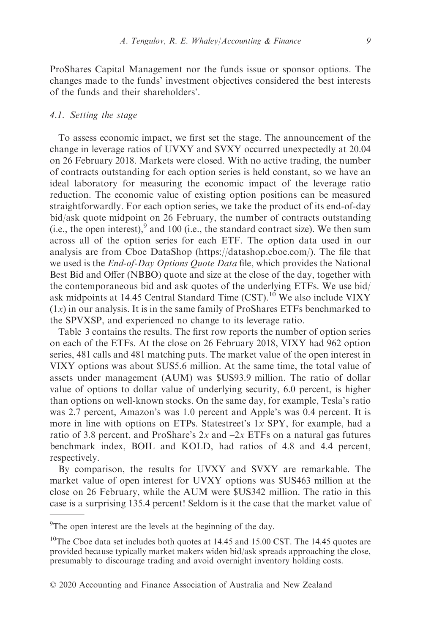ProShares Capital Management nor the funds issue or sponsor options. The changes made to the funds' investment objectives considered the best interests of the funds and their shareholders'.

### 4.1. Setting the stage

To assess economic impact, we first set the stage. The announcement of the change in leverage ratios of UVXY and SVXY occurred unexpectedly at 20.04 on 26 February 2018. Markets were closed. With no active trading, the number of contracts outstanding for each option series is held constant, so we have an ideal laboratory for measuring the economic impact of the leverage ratio reduction. The economic value of existing option positions can be measured straightforwardly. For each option series, we take the product of its end-of-day bid/ask quote midpoint on 26 February, the number of contracts outstanding  $(i.e., the open interest)$ , and 100 (i.e., the standard contract size). We then sum across all of the option series for each ETF. The option data used in our analysis are from Cboe DataShop ([https://datashop.cboe.com/\)](https://datashop.cboe.com/). The file that we used is the *End-of-Day Options Quote Data* file, which provides the National Best Bid and Offer (NBBO) quote and size at the close of the day, together with the contemporaneous bid and ask quotes of the underlying ETFs. We use bid/ ask midpoints at 14.45 Central Standard Time (CST).<sup>10</sup> We also include VIXY  $(1x)$  in our analysis. It is in the same family of ProShares ETFs benchmarked to the SPVXSP, and experienced no change to its leverage ratio.

Table 3 contains the results. The first row reports the number of option series on each of the ETFs. At the close on 26 February 2018, VIXY had 962 option series, 481 calls and 481 matching puts. The market value of the open interest in VIXY options was about \$US5.6 million. At the same time, the total value of assets under management (AUM) was \$US93.9 million. The ratio of dollar value of options to dollar value of underlying security, 6.0 percent, is higher than options on well-known stocks. On the same day, for example, Tesla's ratio was 2.7 percent, Amazon's was 1.0 percent and Apple's was 0.4 percent. It is more in line with options on ETPs. Statestreet's 1x SPY, for example, had a ratio of 3.8 percent, and ProShare's  $2x$  and  $-2x$  ETFs on a natural gas futures benchmark index, BOIL and KOLD, had ratios of 4.8 and 4.4 percent, respectively.

By comparison, the results for UVXY and SVXY are remarkable. The market value of open interest for UVXY options was \$US463 million at the close on 26 February, while the AUM were \$US342 million. The ratio in this case is a surprising 135.4 percent! Seldom is it the case that the market value of

<sup>&</sup>lt;sup>9</sup>The open interest are the levels at the beginning of the day.

<sup>&</sup>lt;sup>10</sup>The Cboe data set includes both quotes at  $14.45$  and  $15.00$  CST. The  $14.45$  quotes are provided because typically market makers widen bid/ask spreads approaching the close, presumably to discourage trading and avoid overnight inventory holding costs.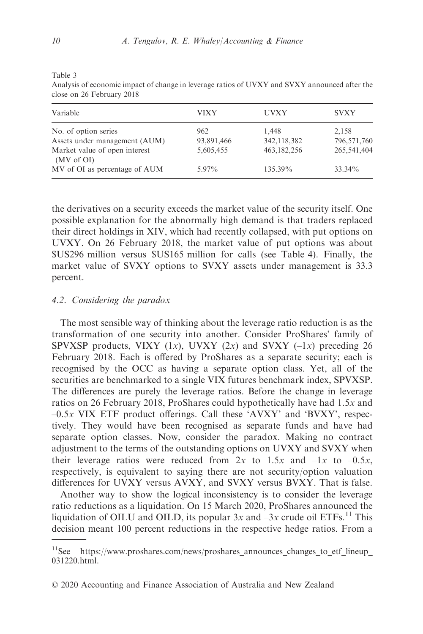Table 3

| <b>VIXY</b> | <b>UVXY</b>   | <b>SVXY</b> |
|-------------|---------------|-------------|
| 962         | 1.448         | 2.158       |
| 93,891,466  | 342,118,382   | 796,571,760 |
| 5,605,455   | 463, 182, 256 | 265,541,404 |
| $5.97\%$    | 135.39%       | 33.34%      |
|             |               |             |

Analysis of economic impact of change in leverage ratios of UVXY and SVXY announced after the close on 26 February 2018

the derivatives on a security exceeds the market value of the security itself. One possible explanation for the abnormally high demand is that traders replaced their direct holdings in XIV, which had recently collapsed, with put options on UVXY. On 26 February 2018, the market value of put options was about \$US296 million versus \$US165 million for calls (see Table 4). Finally, the market value of SVXY options to SVXY assets under management is 33.3 percent.

### 4.2. Considering the paradox

The most sensible way of thinking about the leverage ratio reduction is as the transformation of one security into another. Consider ProShares' family of SPVXSP products, VIXY  $(1x)$ , UVXY  $(2x)$  and SVXY  $(-1x)$  preceding 26 February 2018. Each is offered by ProShares as a separate security; each is recognised by the OCC as having a separate option class. Yet, all of the securities are benchmarked to a single VIX futures benchmark index, SPVXSP. The differences are purely the leverage ratios. Before the change in leverage ratios on 26 February 2018, ProShares could hypothetically have had 1.5x and  $-0.5x$  VIX ETF product offerings. Call these 'AVXY' and 'BVXY', respectively. They would have been recognised as separate funds and have had separate option classes. Now, consider the paradox. Making no contract adjustment to the terms of the outstanding options on UVXY and SVXY when their leverage ratios were reduced from  $2x$  to  $1.5x$  and  $-1x$  to  $-0.5x$ , respectively, is equivalent to saying there are not security/option valuation differences for UVXY versus AVXY, and SVXY versus BVXY. That is false.

Another way to show the logical inconsistency is to consider the leverage ratio reductions as a liquidation. On 15 March 2020, ProShares announced the liquidation of OILU and OILD, its popular  $3x$  and  $-3x$  crude oil ETFs.<sup>11</sup> This decision meant 100 percent reductions in the respective hedge ratios. From a

<sup>&</sup>lt;sup>11</sup>See [https://www.proshares.com/news/proshares\\_announces\\_changes\\_to\\_etf\\_lineup\\_](//www.proshares.com/news/proshares_announces_changes_to_etf_lineup_031220.html://www.proshares.com/news/proshares_announces_changes_to_etf_lineup_031220.html) [031220.html](//www.proshares.com/news/proshares_announces_changes_to_etf_lineup_031220.html://www.proshares.com/news/proshares_announces_changes_to_etf_lineup_031220.html).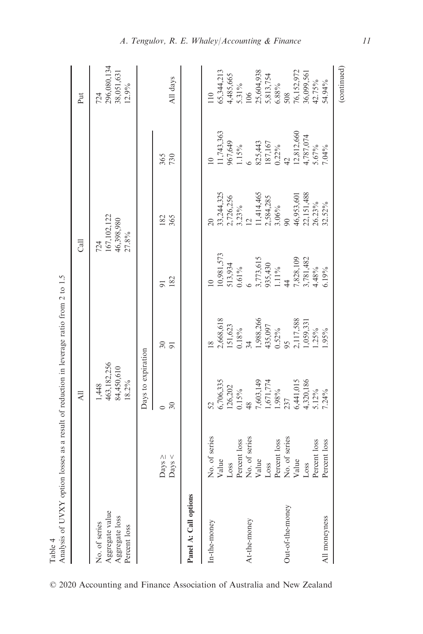|                                                                    |                                        | $\overline{z}$                              |                               | Call                  |                                  |                                | Put                                       |
|--------------------------------------------------------------------|----------------------------------------|---------------------------------------------|-------------------------------|-----------------------|----------------------------------|--------------------------------|-------------------------------------------|
| Aggregate value<br>Aggregate loss<br>No. of series<br>Percent loss |                                        | 463,182,256<br>84,450,610<br>18.2%<br>1,448 |                               | 27.8%<br>724          | 167, 102, 122<br>46,398,980      |                                | 296,080,134<br>38,051,631<br>12.9%<br>724 |
|                                                                    |                                        | Days to expiration                          |                               |                       |                                  |                                |                                           |
|                                                                    | $_{\text{Days}} <$<br>$_{\text{Days}}$ | $\overline{30}$<br>$\circ$                  | $30\,$<br>$\overline{91}$     | 182<br>$\overline{5}$ | 365<br>182                       | 365<br>730                     | All days                                  |
| Panel A: Call options                                              |                                        |                                             |                               |                       |                                  |                                |                                           |
| In-the-money                                                       | No. of series                          |                                             |                               |                       |                                  |                                |                                           |
|                                                                    | Value                                  | 6,706,335                                   |                               | 10,981,573            |                                  |                                |                                           |
|                                                                    | Loss                                   | 126,202                                     |                               |                       |                                  |                                |                                           |
|                                                                    | Percent loss                           | $0.15\%$                                    | 2,668,618<br>151,623<br>0.18% | 513,934<br>0.61%      | 33,244,325<br>2,726,256<br>3.23% | 11,743,363<br>967,649<br>1.15% | 65,344,213<br>4,485,665<br>5.31%          |
| At-the-money                                                       | No. of series                          | 48                                          | 34                            |                       | $\frac{12}{2}$                   |                                |                                           |
|                                                                    | Value                                  |                                             | 1,988,266<br>435,097          | 3,773,615<br>935,430  |                                  | 825,443<br>187,167             | 106<br>25,604,938<br>5,813,754<br>6.88%   |
|                                                                    | $_{\text{Loss}}$                       | 7,603,149<br>1,671,774                      |                               |                       | 11,414,465<br>2,584,285<br>3.06% |                                |                                           |
|                                                                    | Percent loss                           | 1.98%                                       | $0.52\%$                      | 1.11%                 |                                  | $0.22\%$                       |                                           |
| Out-of-the-money                                                   | No. of series                          | 237                                         | 95                            | $\frac{4}{3}$         | $\overline{6}$                   |                                | 508                                       |
|                                                                    | Value                                  | 6,441,015                                   | 2,117,588                     | 7,828,109             | 46,953,601                       | 12,812,660                     | 76,152,972<br>36,099,561<br>42.75%        |
|                                                                    | Loss                                   | 4,320,186                                   | 1,059,331                     | 3,781,482<br>4.48%    | $22,151,488$<br>$26.23%$         | 4,787,074<br>5.67%             |                                           |
|                                                                    | Percent loss                           | $5.12\%$                                    | $.25\%$                       |                       |                                  |                                |                                           |
| All moneyness                                                      | Percent loss                           | 7.24%                                       | $.95\%$                       | 6.19%                 | 32.52%                           | 7.04%                          | 54.94%                                    |
|                                                                    |                                        |                                             |                               |                       |                                  |                                | (continued)                               |

<sup>©</sup> 2020 Accounting and Finance Association of Australia and New Zealand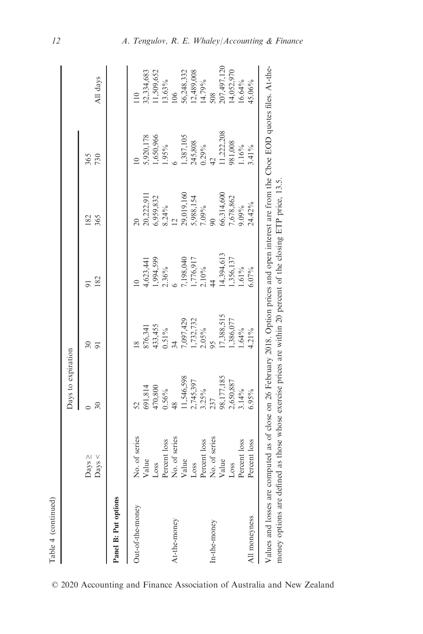|                                                                                                                                                                                                                                                               |                                        | Days to expiration             |                        |                       |                        |                      |                                  |
|---------------------------------------------------------------------------------------------------------------------------------------------------------------------------------------------------------------------------------------------------------------|----------------------------------------|--------------------------------|------------------------|-----------------------|------------------------|----------------------|----------------------------------|
|                                                                                                                                                                                                                                                               | $_{\text{Days}}$<br>$_{\text{Days}} <$ | $30\,$                         |                        | 182<br>5              | 365<br>182             | 365<br>730           | All days                         |
| Panel B: Put options                                                                                                                                                                                                                                          |                                        |                                |                        |                       |                        |                      |                                  |
| Out-of-the-money                                                                                                                                                                                                                                              | No. of series<br>Value                 | 691,814                        | 876,341                | 1,623,441             | 20,222,911             | 5,920,178            | 32,334,683                       |
|                                                                                                                                                                                                                                                               | Percent loss<br>Loss                   | 170,800<br>$0.56\%$            | 433,455<br>$0.51\%$    | ,994,599<br>2.36%     | 5,959,832<br>8.24%     | ,650,966<br>1.95%    | 1,509,652<br>3.63%               |
| At-the-money                                                                                                                                                                                                                                                  | No. of series<br>Value                 | 1,546,598<br>48                | 7,097,429              | ,198,040              | 29,019,160             | 1,387,105            | 56,248,332<br>$\geq$             |
|                                                                                                                                                                                                                                                               | Percent loss<br>Loss                   | 2,745,397<br>$3.25\%$          | .,732,732<br>$2.05\%$  | ,776,917<br>$2.10\%$  | 5,988,154<br>7.09%     | 245,808<br>$0.29\%$  | 12,489,008<br>14.79%             |
| In-the-money                                                                                                                                                                                                                                                  | No. of series<br>Value<br>Loss         | 98,177,185<br>2,650,887<br>237 | 17,388,515<br>,386,077 | 4,394,613<br>,356,137 | 66,314,600<br>,678,862 | 1,222,208<br>800,186 | 207,497,120<br>14,052,970<br>508 |
| All moneyness                                                                                                                                                                                                                                                 | Percent loss<br>Percent loss           | 3.14%<br>$6.95\%$              | 1.64%<br>$4.21\%$      | $1.61\%$<br>$6.07\%$  | 24.42%<br>$9.09\%$     | 16%<br>3.41%         | 16.64%<br>45.06%                 |
| Values and losses are computed as of close on 26 February 2018. Option prices and open interest are from the Cboe EOD quotes files. At-the-<br>money options are defined as those whose exercise prices are within 20 percent of the closing ETP price, 13.5. |                                        |                                |                        |                       |                        |                      |                                  |

Table 4 (continued)

Table 4 (continued)

© 2020 Accounting and Finance Association of Australia and New Zealand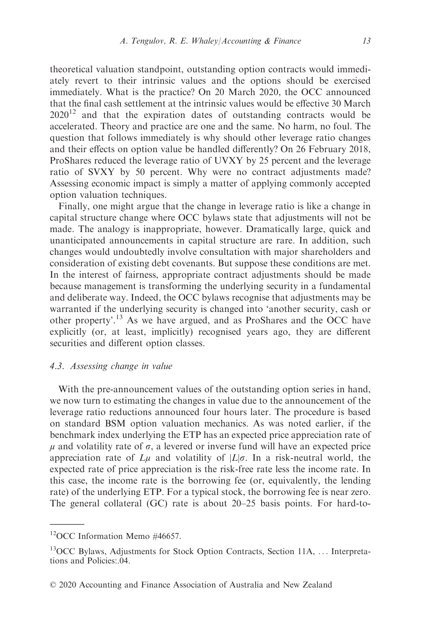theoretical valuation standpoint, outstanding option contracts would immediately revert to their intrinsic values and the options should be exercised immediately. What is the practice? On 20 March 2020, the OCC announced that the final cash settlement at the intrinsic values would be effective 30 March  $2020^{12}$  and that the expiration dates of outstanding contracts would be accelerated. Theory and practice are one and the same. No harm, no foul. The question that follows immediately is why should other leverage ratio changes and their effects on option value be handled differently? On 26 February 2018, ProShares reduced the leverage ratio of UVXY by 25 percent and the leverage ratio of SVXY by 50 percent. Why were no contract adjustments made? Assessing economic impact is simply a matter of applying commonly accepted option valuation techniques.

Finally, one might argue that the change in leverage ratio is like a change in capital structure change where OCC bylaws state that adjustments will not be made. The analogy is inappropriate, however. Dramatically large, quick and unanticipated announcements in capital structure are rare. In addition, such changes would undoubtedly involve consultation with major shareholders and consideration of existing debt covenants. But suppose these conditions are met. In the interest of fairness, appropriate contract adjustments should be made because management is transforming the underlying security in a fundamental and deliberate way. Indeed, the OCC bylaws recognise that adjustments may be warranted if the underlying security is changed into 'another security, cash or other property'.<sup>13</sup> As we have argued, and as ProShares and the OCC have explicitly (or, at least, implicitly) recognised years ago, they are different securities and different option classes.

### 4.3. Assessing change in value

With the pre-announcement values of the outstanding option series in hand, we now turn to estimating the changes in value due to the announcement of the leverage ratio reductions announced four hours later. The procedure is based on standard BSM option valuation mechanics. As was noted earlier, if the benchmark index underlying the ETP has an expected price appreciation rate of  $\mu$  and volatility rate of  $\sigma$ , a levered or inverse fund will have an expected price appreciation rate of  $Lu$  and volatility of  $|L|\sigma$ . In a risk-neutral world, the expected rate of price appreciation is the risk-free rate less the income rate. In this case, the income rate is the borrowing fee (or, equivalently, the lending rate) of the underlying ETP. For a typical stock, the borrowing fee is near zero. The general collateral (GC) rate is about 20–25 basis points. For hard-to-

 $12$ OCC Information Memo #46657.

<sup>&</sup>lt;sup>13</sup>OCC Bylaws, Adjustments for Stock Option Contracts, Section 11A, ... Interpretations and Policies:.04.

<sup>©</sup> 2020 Accounting and Finance Association of Australia and New Zealand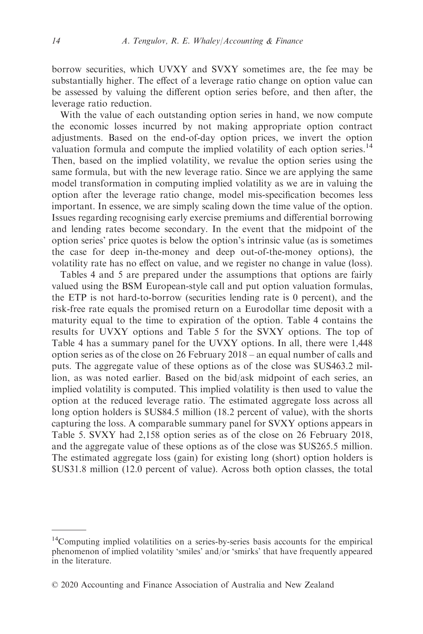borrow securities, which UVXY and SVXY sometimes are, the fee may be substantially higher. The effect of a leverage ratio change on option value can be assessed by valuing the different option series before, and then after, the leverage ratio reduction.

With the value of each outstanding option series in hand, we now compute the economic losses incurred by not making appropriate option contract adjustments. Based on the end-of-day option prices, we invert the option valuation formula and compute the implied volatility of each option series.<sup>14</sup> Then, based on the implied volatility, we revalue the option series using the same formula, but with the new leverage ratio. Since we are applying the same model transformation in computing implied volatility as we are in valuing the option after the leverage ratio change, model mis-specification becomes less important. In essence, we are simply scaling down the time value of the option. Issues regarding recognising early exercise premiums and differential borrowing and lending rates become secondary. In the event that the midpoint of the option series' price quotes is below the option's intrinsic value (as is sometimes the case for deep in-the-money and deep out-of-the-money options), the volatility rate has no effect on value, and we register no change in value (loss).

Tables 4 and 5 are prepared under the assumptions that options are fairly valued using the BSM European-style call and put option valuation formulas, the ETP is not hard-to-borrow (securities lending rate is 0 percent), and the risk-free rate equals the promised return on a Eurodollar time deposit with a maturity equal to the time to expiration of the option. Table 4 contains the results for UVXY options and Table 5 for the SVXY options. The top of Table 4 has a summary panel for the UVXY options. In all, there were 1,448 option series as of the close on 26 February 2018 – an equal number of calls and puts. The aggregate value of these options as of the close was \$US463.2 million, as was noted earlier. Based on the bid/ask midpoint of each series, an implied volatility is computed. This implied volatility is then used to value the option at the reduced leverage ratio. The estimated aggregate loss across all long option holders is \$US84.5 million (18.2 percent of value), with the shorts capturing the loss. A comparable summary panel for SVXY options appears in Table 5. SVXY had 2,158 option series as of the close on 26 February 2018, and the aggregate value of these options as of the close was \$US265.5 million. The estimated aggregate loss (gain) for existing long (short) option holders is \$US31.8 million (12.0 percent of value). Across both option classes, the total

 $14$ Computing implied volatilities on a series-by-series basis accounts for the empirical phenomenon of implied volatility 'smiles' and/or 'smirks' that have frequently appeared in the literature.

<sup>©</sup> 2020 Accounting and Finance Association of Australia and New Zealand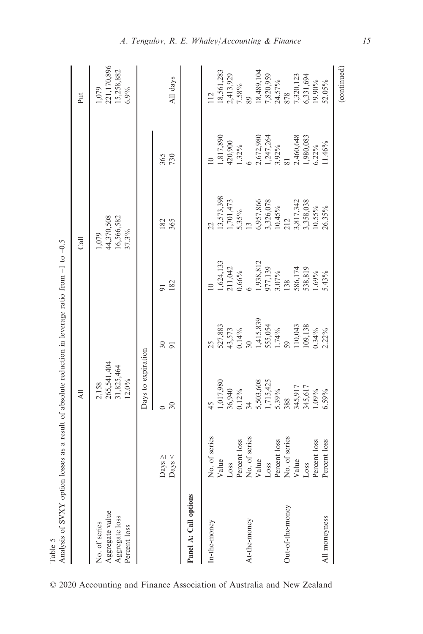|                                                                    |                                   | $\overline{A}$                                 |                                 |                       | <b>Call</b>                                |                                 | Put                                        |
|--------------------------------------------------------------------|-----------------------------------|------------------------------------------------|---------------------------------|-----------------------|--------------------------------------------|---------------------------------|--------------------------------------------|
| Aggregate value<br>Aggregate loss<br>No. of series<br>Percent loss |                                   | 265,541,404<br>31,825,464<br>$12.0\%$<br>2,158 |                                 |                       | 44,370,508<br>16,566,582<br>37.3%<br>1,079 |                                 | 221,170,896<br>15,258,882<br>6.9%<br>1,079 |
|                                                                    |                                   | Days to expiration                             |                                 |                       |                                            |                                 |                                            |
|                                                                    | $_{\text{Days}} <$<br>Days $\geq$ | $\overline{30}$<br>$\circ$                     | $30\,$<br>$\overline{5}$        | 182<br>$\overline{5}$ | 365<br>182                                 | 365<br>730                      | All days                                   |
| Panel A: Call options                                              |                                   |                                                |                                 |                       |                                            |                                 |                                            |
| In-the-money                                                       | No. of series                     |                                                |                                 |                       |                                            |                                 | 12                                         |
|                                                                    | Value                             | 1,017,980                                      |                                 | ,624,133              | 13,573,398                                 |                                 | 18,561,283                                 |
|                                                                    | Loss                              | 36,940                                         | 527,883<br>43,573               | 211,042               | 1,701,473                                  | 1,817,890<br>420,900            | 2,413,929                                  |
|                                                                    | Percent loss                      | $0.12\%$                                       | $0.14\%$                        | $0.66\%$              | $5.35\%$                                   | $1.32\%$                        | $7.58\%$                                   |
| At-the-money                                                       | No. of series                     | 34                                             | 30 <sub>o</sub>                 |                       | $\frac{13}{2}$                             |                                 | 89                                         |
|                                                                    | Value                             | 5,503,608<br>1,715,425                         |                                 |                       |                                            |                                 |                                            |
|                                                                    | Loss                              |                                                | $1,415,839$<br>555,054<br>1.74% | 1,938,812<br>977,139  | 6,957,866<br>3,326,078<br>10.45%           | 2,672,980<br>1,247,264<br>3.92% | 18,489,104<br>7,820,959                    |
|                                                                    | Percent loss                      | $5.39\%$                                       |                                 | 3.07%                 |                                            |                                 |                                            |
| Out-of-the-money                                                   | No. of series                     | 388                                            | 59                              | 138                   | 212                                        |                                 | $24.57\%$<br>878                           |
|                                                                    | Value                             | 345,917                                        | 110,043                         |                       | 3,817,342                                  | 2,460,648                       | 7,320,123<br>6,331,694                     |
|                                                                    | Loss                              | 345,617                                        | 109,138<br>0.34%                | 586,174<br>538,819    | 3,358,038                                  | ,980,083                        |                                            |
|                                                                    | Percent loss                      | $1.09\%$                                       |                                 | 1.69%                 | $10.55\%$                                  | $6.22\%$                        | 19.90%                                     |
| All moneyness                                                      | Percent loss                      | 5.59%                                          | 2.22%                           | $.43\%$               | 26.35%                                     | 1.46%                           | 52.05%                                     |
|                                                                    |                                   |                                                |                                 |                       |                                            |                                 | (continued)                                |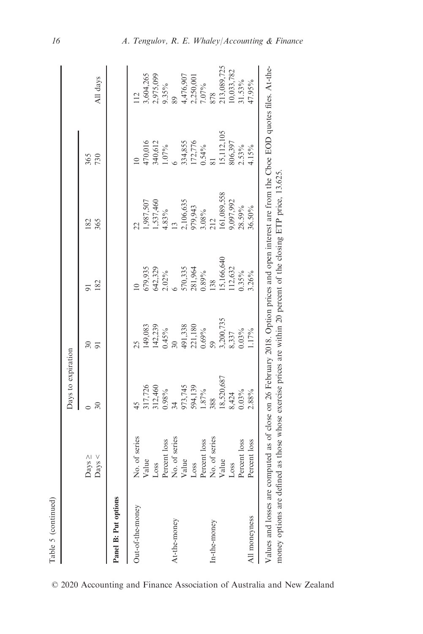|                                                                                                                                           |                                                                                                                       | Days to expiration                     |                                |                                        |                                           |                                   |                                            |
|-------------------------------------------------------------------------------------------------------------------------------------------|-----------------------------------------------------------------------------------------------------------------------|----------------------------------------|--------------------------------|----------------------------------------|-------------------------------------------|-----------------------------------|--------------------------------------------|
|                                                                                                                                           | $_{\text{Days}} <$<br>Days $\geq$                                                                                     | $\overline{50}$                        | $\overline{50}$                | 182<br>5                               | 365<br>182                                | 365<br>730                        | All days                                   |
| Panel B: Put options                                                                                                                      |                                                                                                                       |                                        |                                |                                        |                                           |                                   |                                            |
| Out-of-the-money                                                                                                                          | No. of series<br>Value                                                                                                |                                        |                                | 579,935                                | ,987,507                                  | 470,016                           | ,604,265<br>12                             |
|                                                                                                                                           | Percent loss<br>Loss                                                                                                  | 317,726<br>312,460<br>0.98%            | 149,083<br>142,239<br>$0.45\%$ | 642,329<br>$2.02\%$                    | ,537,460<br>4.83%                         | 340,612<br>1.07%                  | 2,975,099<br>$9.35\%$                      |
| At-the-money                                                                                                                              | No. of series<br>Value                                                                                                | 973,745                                |                                |                                        | .,106,635                                 |                                   | ,476,907                                   |
|                                                                                                                                           | Percent loss<br>Loss                                                                                                  | 594,139<br>$1.87\%$                    | 491,338<br>221,180<br>$0.69\%$ | 570,335<br>281,964<br>$0.89\%$         | 979,943<br>3.08%                          | 334,855<br>172,776<br>$0.54\%$    | 2,250,001<br>7.07%                         |
| In-the-money                                                                                                                              | No. of series<br>Percent loss<br>Value<br>Loss                                                                        | 18,520,687<br>$0.03\%$<br>8,424<br>388 | 3,200,735<br>$0.03\%$<br>8,337 | 15,166,640<br>12,632<br>$0.35\%$<br>38 | 161,089,558<br>9,097,992<br>28.59%<br>212 | 15,112,105<br>806,397<br>$2.53\%$ | 213,089,725<br>10,033,782<br>81.53%<br>878 |
| All moneyness                                                                                                                             | Percent loss                                                                                                          | 2.88%                                  | $.17\%$                        | $.26\%$                                | 86.50%                                    | 15%                               | 17.95%                                     |
| money options are defined as those whose exercise prices are within 20 percent of the closing ETP price, 13.625.<br>Values and losses are | computed as of close on 26 February 2018. Option prices and open interest are from the Cboe EOD quotes files. At-the- |                                        |                                |                                        |                                           |                                   |                                            |

<sup>©</sup> 2020 Accounting and Finance Association of Australia and New Zealand

Table 5 (continued)

Table 5 (continued)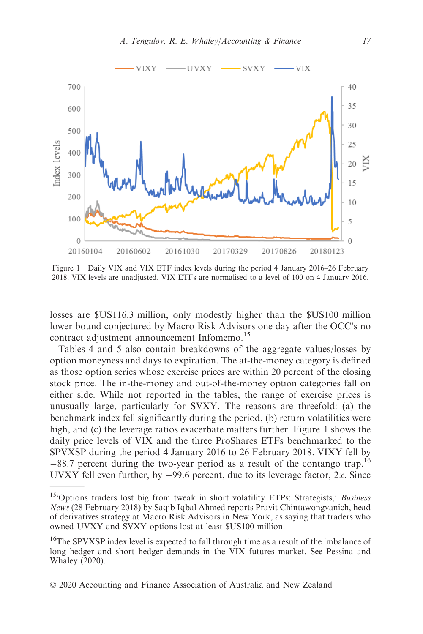

Figure 1 Daily VIX and VIX ETF index levels during the period 4 January 2016–26 February 2018. VIX levels are unadjusted. VIX ETFs are normalised to a level of 100 on 4 January 2016.

losses are \$US116.3 million, only modestly higher than the \$US100 million lower bound conjectured by Macro Risk Advisors one day after the OCC's no contract adjustment announcement Infomemo.<sup>15</sup>

Tables 4 and 5 also contain breakdowns of the aggregate values/losses by option moneyness and days to expiration. The at-the-money category is defined as those option series whose exercise prices are within 20 percent of the closing stock price. The in-the-money and out-of-the-money option categories fall on either side. While not reported in the tables, the range of exercise prices is unusually large, particularly for SVXY. The reasons are threefold: (a) the benchmark index fell significantly during the period, (b) return volatilities were high, and (c) the leverage ratios exacerbate matters further. Figure 1 shows the daily price levels of VIX and the three ProShares ETFs benchmarked to the SPVXSP during the period 4 January 2016 to 26 February 2018. VIXY fell by  $-88.7$  percent during the two-year period as a result of the contango trap.<sup>16</sup> UVXY fell even further, by  $-99.6$  percent, due to its leverage factor, 2x. Since

<sup>&</sup>lt;sup>15</sup><sup>t</sup>Options traders lost big from tweak in short volatility ETPs: Strategists,' *Business* News (28 February 2018) by Saqib Iqbal Ahmed reports Pravit Chintawongvanich, head of derivatives strategy at Macro Risk Advisors in New York, as saying that traders who owned UVXY and SVXY options lost at least \$US100 million.

<sup>&</sup>lt;sup>16</sup>The SPVXSP index level is expected to fall through time as a result of the imbalance of long hedger and short hedger demands in the VIX futures market. See Pessina and Whaley (2020).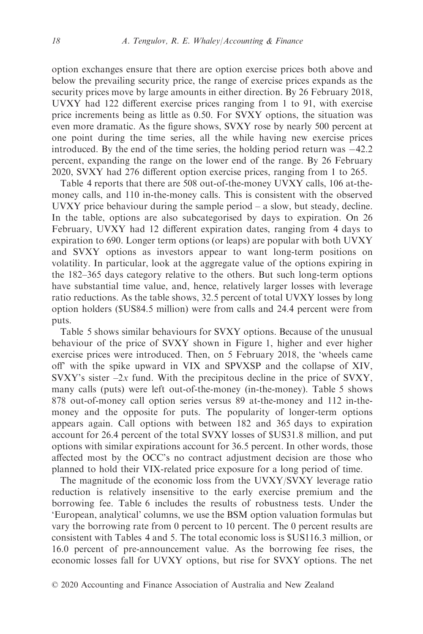option exchanges ensure that there are option exercise prices both above and below the prevailing security price, the range of exercise prices expands as the security prices move by large amounts in either direction. By 26 February 2018, UVXY had 122 different exercise prices ranging from 1 to 91, with exercise price increments being as little as 0.50. For SVXY options, the situation was even more dramatic. As the figure shows, SVXY rose by nearly 500 percent at one point during the time series, all the while having new exercise prices introduced. By the end of the time series, the holding period return was  $-42.2$ percent, expanding the range on the lower end of the range. By 26 February 2020, SVXY had 276 different option exercise prices, ranging from 1 to 265.

Table 4 reports that there are 508 out-of-the-money UVXY calls, 106 at-themoney calls, and 110 in-the-money calls. This is consistent with the observed UVXY price behaviour during the sample period – a slow, but steady, decline. In the table, options are also subcategorised by days to expiration. On 26 February, UVXY had 12 different expiration dates, ranging from 4 days to expiration to 690. Longer term options (or leaps) are popular with both UVXY and SVXY options as investors appear to want long-term positions on volatility. In particular, look at the aggregate value of the options expiring in the 182–365 days category relative to the others. But such long-term options have substantial time value, and, hence, relatively larger losses with leverage ratio reductions. As the table shows, 32.5 percent of total UVXY losses by long option holders (\$US84.5 million) were from calls and 24.4 percent were from puts.

Table 5 shows similar behaviours for SVXY options. Because of the unusual behaviour of the price of SVXY shown in Figure 1, higher and ever higher exercise prices were introduced. Then, on 5 February 2018, the 'wheels came off' with the spike upward in VIX and SPVXSP and the collapse of XIV, SVXY's sister  $-2x$  fund. With the precipitous decline in the price of SVXY, many calls (puts) were left out-of-the-money (in-the-money). Table 5 shows 878 out-of-money call option series versus 89 at-the-money and 112 in-themoney and the opposite for puts. The popularity of longer-term options appears again. Call options with between 182 and 365 days to expiration account for 26.4 percent of the total SVXY losses of \$US31.8 million, and put options with similar expirations account for 36.5 percent. In other words, those affected most by the OCC's no contract adjustment decision are those who planned to hold their VIX-related price exposure for a long period of time.

The magnitude of the economic loss from the UVXY/SVXY leverage ratio reduction is relatively insensitive to the early exercise premium and the borrowing fee. Table 6 includes the results of robustness tests. Under the 'European, analytical' columns, we use the BSM option valuation formulas but vary the borrowing rate from 0 percent to 10 percent. The 0 percent results are consistent with Tables 4 and 5. The total economic loss is \$US116.3 million, or 16.0 percent of pre-announcement value. As the borrowing fee rises, the economic losses fall for UVXY options, but rise for SVXY options. The net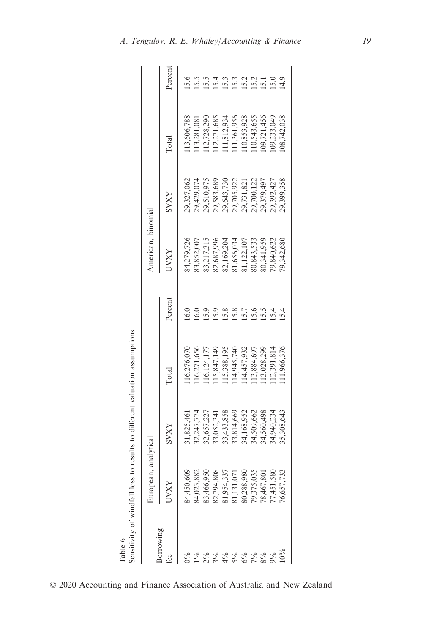Table 6<br>Sensitivity of windfall loss to results to different valuation assumptions Sensitivity of windfall loss to results to different valuation assumptions

| corrowing        | European, analytical                                                                                    |                          |                                           |                                      | American, binomial                     |                                                                                  |                            |                 |
|------------------|---------------------------------------------------------------------------------------------------------|--------------------------|-------------------------------------------|--------------------------------------|----------------------------------------|----------------------------------------------------------------------------------|----------------------------|-----------------|
|                  | $_{\rm XX}$                                                                                             | <b>ZXXX</b>              | Total                                     | Percent                              | ivxy                                   | <b>ZXXXS</b>                                                                     | Total                      | Percent         |
|                  |                                                                                                         | 1,825,461                | 6,276,070                                 |                                      | 14,279,726                             | 29,327,062                                                                       | 13,606,788                 |                 |
|                  | 84,450,609<br>84,023,882<br>84,023,882<br>86,950<br>86,374,337<br>84,67,800<br>79,375,035<br>78,467,801 | 2,247,774                | 16,271,656                                |                                      | 3,852,007                              | 29,429,074                                                                       | 13,281,08                  |                 |
| $28888888888880$ |                                                                                                         | 2,657,227                | (6, 124, 17)                              |                                      | 83,217,315<br>82,687,996               |                                                                                  | 12,728,290                 |                 |
|                  |                                                                                                         | 3,052,341                | 15,847,149                                | 5.9                                  |                                        |                                                                                  | 12,271,685                 |                 |
|                  |                                                                                                         | 13,433,858               | 15,388,195                                |                                      | 2,169,204                              |                                                                                  | 1,812,934                  |                 |
|                  |                                                                                                         | 33,814,669<br>34,168,952 |                                           |                                      | 81,656,034<br>81,122,107<br>80,843,533 |                                                                                  | 11,361,956                 | 53              |
|                  |                                                                                                         |                          | 114,945,740<br>114,457,932<br>113,884,697 |                                      |                                        |                                                                                  | 110,853,928<br>110,543,655 | 15.2            |
|                  |                                                                                                         | ,4,509,662               |                                           | $15.7$<br>$15.6$<br>$15.4$<br>$15.4$ |                                        | 29,510,975<br>29,583,689<br>29,643,730<br>29,705,922<br>29,731,821<br>29,701,821 |                            |                 |
|                  |                                                                                                         | 34,560,498<br>34,940,234 | 13,028,299                                |                                      | 0,341,959                              |                                                                                  | 09,721,456                 | $\overline{51}$ |
|                  |                                                                                                         |                          | 12,391,814                                |                                      | 9,840,622                              | 29,379,497<br>29,392,427                                                         | 09,233,049                 | 15.0            |
|                  |                                                                                                         | 5,308,643                | 1,966,376                                 | 5.4                                  | ,9,342,680                             | 9,399,358                                                                        | 08,742,038                 | $\frac{4.9}{5}$ |
|                  |                                                                                                         |                          |                                           |                                      |                                        |                                                                                  |                            |                 |

© 2020 Accounting and Finance Association of Australia and New Zealand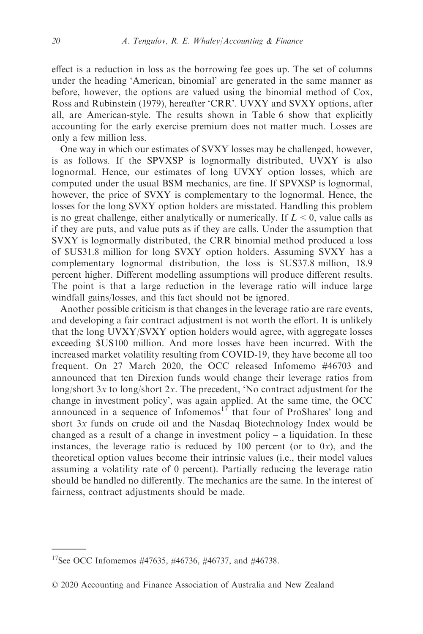effect is a reduction in loss as the borrowing fee goes up. The set of columns under the heading 'American, binomial' are generated in the same manner as before, however, the options are valued using the binomial method of Cox, Ross and Rubinstein (1979), hereafter 'CRR'. UVXY and SVXY options, after all, are American-style. The results shown in Table 6 show that explicitly accounting for the early exercise premium does not matter much. Losses are only a few million less.

One way in which our estimates of SVXY losses may be challenged, however, is as follows. If the SPVXSP is lognormally distributed, UVXY is also lognormal. Hence, our estimates of long UVXY option losses, which are computed under the usual BSM mechanics, are fine. If SPVXSP is lognormal, however, the price of SVXY is complementary to the lognormal. Hence, the losses for the long SVXY option holders are misstated. Handling this problem is no great challenge, either analytically or numerically. If  $L < 0$ , value calls as if they are puts, and value puts as if they are calls. Under the assumption that SVXY is lognormally distributed, the CRR binomial method produced a loss of \$US31.8 million for long SVXY option holders. Assuming SVXY has a complementary lognormal distribution, the loss is \$US37.8 million, 18.9 percent higher. Different modelling assumptions will produce different results. The point is that a large reduction in the leverage ratio will induce large windfall gains/losses, and this fact should not be ignored.

Another possible criticism is that changes in the leverage ratio are rare events, and developing a fair contract adjustment is not worth the effort. It is unlikely that the long UVXY/SVXY option holders would agree, with aggregate losses exceeding \$US100 million. And more losses have been incurred. With the increased market volatility resulting from COVID-19, they have become all too frequent. On 27 March 2020, the OCC released Infomemo #46703 and announced that ten Direxion funds would change their leverage ratios from long/short  $3x$  to long/short  $2x$ . The precedent, 'No contract adjustment for the change in investment policy', was again applied. At the same time, the OCC announced in a sequence of Infomemos<sup>17</sup> that four of ProShares' long and short 3x funds on crude oil and the Nasdaq Biotechnology Index would be changed as a result of a change in investment policy  $-$  a liquidation. In these instances, the leverage ratio is reduced by 100 percent (or to  $0x$ ), and the theoretical option values become their intrinsic values (i.e., their model values assuming a volatility rate of 0 percent). Partially reducing the leverage ratio should be handled no differently. The mechanics are the same. In the interest of fairness, contract adjustments should be made.

<sup>&</sup>lt;sup>17</sup>See OCC Infomemos #47635, #46736, #46737, and #46738.

<sup>©</sup> 2020 Accounting and Finance Association of Australia and New Zealand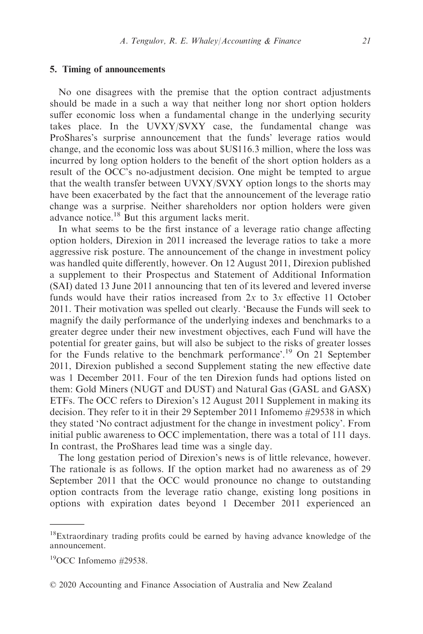#### 5. Timing of announcements

No one disagrees with the premise that the option contract adjustments should be made in a such a way that neither long nor short option holders suffer economic loss when a fundamental change in the underlying security takes place. In the UVXY/SVXY case, the fundamental change was ProShares's surprise announcement that the funds' leverage ratios would change, and the economic loss was about \$US116.3 million, where the loss was incurred by long option holders to the benefit of the short option holders as a result of the OCC's no-adjustment decision. One might be tempted to argue that the wealth transfer between UVXY/SVXY option longs to the shorts may have been exacerbated by the fact that the announcement of the leverage ratio change was a surprise. Neither shareholders nor option holders were given advance notice.<sup>18</sup> But this argument lacks merit.

In what seems to be the first instance of a leverage ratio change affecting option holders, Direxion in 2011 increased the leverage ratios to take a more aggressive risk posture. The announcement of the change in investment policy was handled quite differently, however. On 12 August 2011, Direxion published a supplement to their Prospectus and Statement of Additional Information (SAI) dated 13 June 2011 announcing that ten of its levered and levered inverse funds would have their ratios increased from  $2x$  to  $3x$  effective 11 October 2011. Their motivation was spelled out clearly. 'Because the Funds will seek to magnify the daily performance of the underlying indexes and benchmarks to a greater degree under their new investment objectives, each Fund will have the potential for greater gains, but will also be subject to the risks of greater losses for the Funds relative to the benchmark performance'.<sup>19</sup> On 21 September 2011, Direxion published a second Supplement stating the new effective date was 1 December 2011. Four of the ten Direxion funds had options listed on them: Gold Miners (NUGT and DUST) and Natural Gas (GASL and GASX) ETFs. The OCC refers to Direxion's 12 August 2011 Supplement in making its decision. They refer to it in their 29 September 2011 Infomemo #29538 in which they stated 'No contract adjustment for the change in investment policy'. From initial public awareness to OCC implementation, there was a total of 111 days. In contrast, the ProShares lead time was a single day.

The long gestation period of Direxion's news is of little relevance, however. The rationale is as follows. If the option market had no awareness as of 29 September 2011 that the OCC would pronounce no change to outstanding option contracts from the leverage ratio change, existing long positions in options with expiration dates beyond 1 December 2011 experienced an

<sup>&</sup>lt;sup>18</sup>Extraordinary trading profits could be earned by having advance knowledge of the announcement.

 $19$ OCC Infomemo #29538.

<sup>©</sup> 2020 Accounting and Finance Association of Australia and New Zealand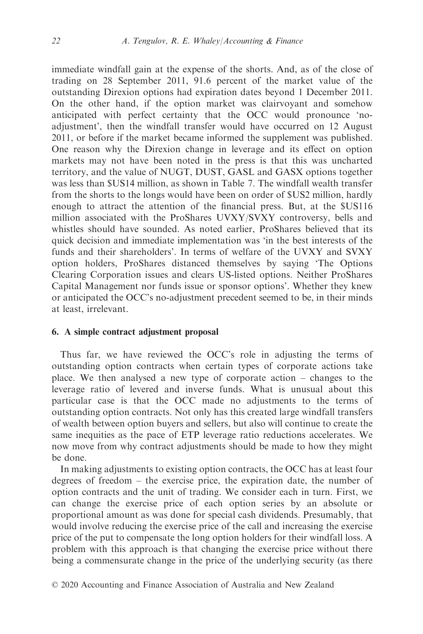immediate windfall gain at the expense of the shorts. And, as of the close of trading on 28 September 2011, 91.6 percent of the market value of the outstanding Direxion options had expiration dates beyond 1 December 2011. On the other hand, if the option market was clairvoyant and somehow anticipated with perfect certainty that the OCC would pronounce 'noadjustment', then the windfall transfer would have occurred on 12 August 2011, or before if the market became informed the supplement was published. One reason why the Direxion change in leverage and its effect on option markets may not have been noted in the press is that this was uncharted territory, and the value of NUGT, DUST, GASL and GASX options together was less than \$US14 million, as shown in Table 7. The windfall wealth transfer from the shorts to the longs would have been on order of \$US2 million, hardly enough to attract the attention of the financial press. But, at the \$US116 million associated with the ProShares UVXY/SVXY controversy, bells and whistles should have sounded. As noted earlier, ProShares believed that its quick decision and immediate implementation was 'in the best interests of the funds and their shareholders'. In terms of welfare of the UVXY and SVXY option holders, ProShares distanced themselves by saying 'The Options Clearing Corporation issues and clears US-listed options. Neither ProShares Capital Management nor funds issue or sponsor options'. Whether they knew or anticipated the OCC's no-adjustment precedent seemed to be, in their minds at least, irrelevant.

#### 6. A simple contract adjustment proposal

Thus far, we have reviewed the OCC's role in adjusting the terms of outstanding option contracts when certain types of corporate actions take place. We then analysed a new type of corporate action – changes to the leverage ratio of levered and inverse funds. What is unusual about this particular case is that the OCC made no adjustments to the terms of outstanding option contracts. Not only has this created large windfall transfers of wealth between option buyers and sellers, but also will continue to create the same inequities as the pace of ETP leverage ratio reductions accelerates. We now move from why contract adjustments should be made to how they might be done.

In making adjustments to existing option contracts, the OCC has at least four degrees of freedom – the exercise price, the expiration date, the number of option contracts and the unit of trading. We consider each in turn. First, we can change the exercise price of each option series by an absolute or proportional amount as was done for special cash dividends. Presumably, that would involve reducing the exercise price of the call and increasing the exercise price of the put to compensate the long option holders for their windfall loss. A problem with this approach is that changing the exercise price without there being a commensurate change in the price of the underlying security (as there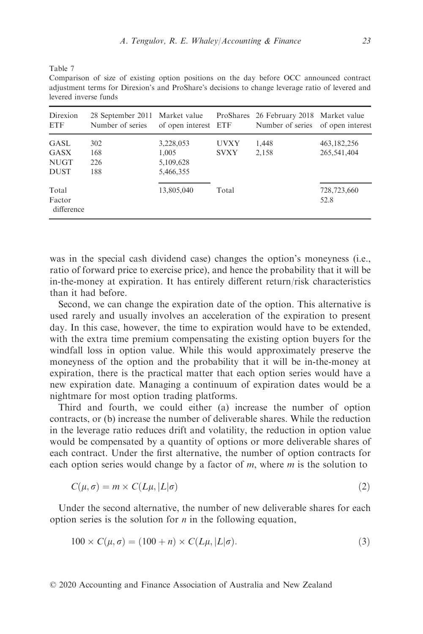Table 7

Comparison of size of existing option positions on the day before OCC announced contract adjustment terms for Direxion's and ProShare's decisions to change leverage ratio of levered and levered inverse funds

| Direxion<br><b>ETF</b> | 28 September 2011 Market value<br>Number of series | of open interest ETF |             | ProShares 26 February 2018 Market value<br>Number of series of open interest |               |
|------------------------|----------------------------------------------------|----------------------|-------------|------------------------------------------------------------------------------|---------------|
| GASL                   | 302                                                | 3,228,053            | <b>UVXY</b> | 1,448                                                                        | 463, 182, 256 |
| <b>GASX</b>            | 168                                                | 1,005                | <b>SVXY</b> | 2,158                                                                        | 265,541,404   |
| <b>NUGT</b>            | 226                                                | 5,109,628            |             |                                                                              |               |
| <b>DUST</b>            | 188                                                | 5,466,355            |             |                                                                              |               |
| Total                  |                                                    | 13,805,040           | Total       |                                                                              | 728,723,660   |
| Factor<br>difference   |                                                    |                      |             |                                                                              | 52.8          |

was in the special cash dividend case) changes the option's moneyness (i.e., ratio of forward price to exercise price), and hence the probability that it will be in-the-money at expiration. It has entirely different return/risk characteristics than it had before.

Second, we can change the expiration date of the option. This alternative is used rarely and usually involves an acceleration of the expiration to present day. In this case, however, the time to expiration would have to be extended, with the extra time premium compensating the existing option buyers for the windfall loss in option value. While this would approximately preserve the moneyness of the option and the probability that it will be in-the-money at expiration, there is the practical matter that each option series would have a new expiration date. Managing a continuum of expiration dates would be a nightmare for most option trading platforms.

Third and fourth, we could either (a) increase the number of option contracts, or (b) increase the number of deliverable shares. While the reduction in the leverage ratio reduces drift and volatility, the reduction in option value would be compensated by a quantity of options or more deliverable shares of each contract. Under the first alternative, the number of option contracts for each option series would change by a factor of  $m$ , where  $m$  is the solution to

$$
C(\mu, \sigma) = m \times C(L\mu, |L|\sigma)
$$
\n(2)

Under the second alternative, the number of new deliverable shares for each option series is the solution for  $n$  in the following equation,

$$
100 \times C(\mu, \sigma) = (100 + n) \times C(L\mu, |L|\sigma). \tag{3}
$$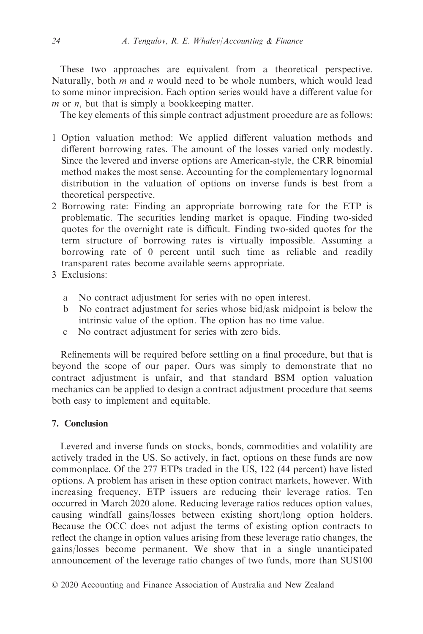These two approaches are equivalent from a theoretical perspective. Naturally, both  $m$  and  $n$  would need to be whole numbers, which would lead to some minor imprecision. Each option series would have a different value for  $m$  or  $n$ , but that is simply a bookkeeping matter.

The key elements of this simple contract adjustment procedure are as follows:

- 1 Option valuation method: We applied different valuation methods and different borrowing rates. The amount of the losses varied only modestly. Since the levered and inverse options are American-style, the CRR binomial method makes the most sense. Accounting for the complementary lognormal distribution in the valuation of options on inverse funds is best from a theoretical perspective.
- 2 Borrowing rate: Finding an appropriate borrowing rate for the ETP is problematic. The securities lending market is opaque. Finding two-sided quotes for the overnight rate is difficult. Finding two-sided quotes for the term structure of borrowing rates is virtually impossible. Assuming a borrowing rate of 0 percent until such time as reliable and readily transparent rates become available seems appropriate.
- 3 Exclusions:
	- a No contract adjustment for series with no open interest.
	- b No contract adjustment for series whose bid/ask midpoint is below the intrinsic value of the option. The option has no time value.
	- c No contract adjustment for series with zero bids.

Refinements will be required before settling on a final procedure, but that is beyond the scope of our paper. Ours was simply to demonstrate that no contract adjustment is unfair, and that standard BSM option valuation mechanics can be applied to design a contract adjustment procedure that seems both easy to implement and equitable.

#### 7. Conclusion

Levered and inverse funds on stocks, bonds, commodities and volatility are actively traded in the US. So actively, in fact, options on these funds are now commonplace. Of the 277 ETPs traded in the US, 122 (44 percent) have listed options. A problem has arisen in these option contract markets, however. With increasing frequency, ETP issuers are reducing their leverage ratios. Ten occurred in March 2020 alone. Reducing leverage ratios reduces option values, causing windfall gains/losses between existing short/long option holders. Because the OCC does not adjust the terms of existing option contracts to reflect the change in option values arising from these leverage ratio changes, the gains/losses become permanent. We show that in a single unanticipated announcement of the leverage ratio changes of two funds, more than \$US100